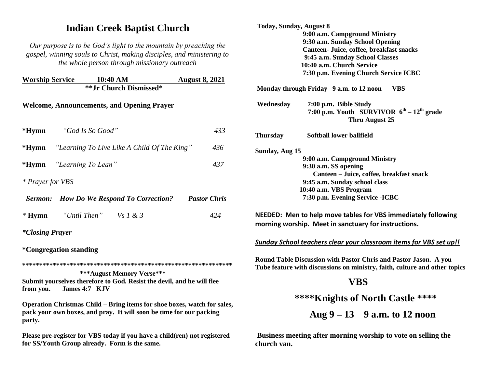# **Indian Creek Baptist Church**

*Our purpose is to be God's light to the mountain by preaching the gospel, winning souls to Christ, making disciples, and ministering to the whole person through missionary outreach*

|                                                                                                      | <b>Worship Service 10:40 AM</b>                          |                                                 | <b>August 8, 2021</b> |  |  |
|------------------------------------------------------------------------------------------------------|----------------------------------------------------------|-------------------------------------------------|-----------------------|--|--|
|                                                                                                      |                                                          | ** Jr Church Dismissed*                         |                       |  |  |
| <b>Welcome, Announcements, and Opening Prayer</b>                                                    |                                                          |                                                 |                       |  |  |
|                                                                                                      | *Hymn "God Is So Good"                                   |                                                 | 433                   |  |  |
|                                                                                                      | <b>*Hymn</b> "Learning To Live Like A Child Of The King" | 436                                             |                       |  |  |
|                                                                                                      | * <b>Hymn</b> "Learning To Lean"                         | 437                                             |                       |  |  |
| * Prayer for VBS                                                                                     |                                                          |                                                 |                       |  |  |
|                                                                                                      |                                                          | <b>Sermon:</b> How Do We Respond To Correction? | <b>Pastor Chris</b>   |  |  |
|                                                                                                      | * Hymn "Until Then" Vs $1 \& 3$                          |                                                 | 424                   |  |  |
| <i>*Closing Prayer</i>                                                                               |                                                          |                                                 |                       |  |  |
| <i><b>*Congregation standing</b></i>                                                                 |                                                          |                                                 |                       |  |  |
|                                                                                                      |                                                          |                                                 |                       |  |  |
| <b>***August Memory Verse***</b>                                                                     |                                                          |                                                 |                       |  |  |
| Submit yourselves therefore to God. Resist the devil, and he will flee<br>from you.<br>James 4:7 KJV |                                                          |                                                 |                       |  |  |

**Operation Christmas Child – Bring items for shoe boxes, watch for sales, pack your own boxes, and pray. It will soon be time for our packing party.**

**Please pre-register for VBS today if you have a child(ren) not registered for SS/Youth Group already. Form is the same.**

| <b>Today, Sunday, August 8</b> |                                                                  |                                                                                                                                                |
|--------------------------------|------------------------------------------------------------------|------------------------------------------------------------------------------------------------------------------------------------------------|
|                                | 9:00 a.m. Campground Ministry<br>9:30 a.m. Sunday School Opening |                                                                                                                                                |
|                                |                                                                  | Canteen- Juice, coffee, breakfast snacks                                                                                                       |
|                                | 9:45 a.m. Sunday School Classes                                  |                                                                                                                                                |
|                                | 10:40 a.m. Church Service                                        |                                                                                                                                                |
|                                |                                                                  | 7:30 p.m. Evening Church Service ICBC                                                                                                          |
|                                | Monday through Friday 9 a.m. to 12 noon                          | VBS                                                                                                                                            |
| Wednesday                      | 7:00 p.m. Bible Study                                            |                                                                                                                                                |
|                                |                                                                  | 7:00 p.m. Youth SURVIVOR $6^{th} - 12^{th}$ grade                                                                                              |
|                                |                                                                  | Thru August 25                                                                                                                                 |
| <b>Thursday</b>                | Softball lower ballfield                                         |                                                                                                                                                |
| Sunday, Aug 15                 |                                                                  |                                                                                                                                                |
|                                | 9:00 a.m. Campground Ministry                                    |                                                                                                                                                |
|                                | 9:30 a.m. SS opening                                             |                                                                                                                                                |
|                                |                                                                  | Canteen - Juice, coffee, breakfast snack                                                                                                       |
|                                | 9:45 a.m. Sunday school class                                    |                                                                                                                                                |
|                                | 10:40 a.m. VBS Program                                           |                                                                                                                                                |
|                                | 7:30 p.m. Evening Service - ICBC                                 |                                                                                                                                                |
|                                |                                                                  | NEEDED: Men to help move tables for VBS immediately following                                                                                  |
|                                |                                                                  | morning worship. Meet in sanctuary for instructions.                                                                                           |
|                                |                                                                  | Sunday School teachers clear your classroom items for VBS set up!!                                                                             |
|                                |                                                                  | Round Table Discussion with Pastor Chris and Pastor Jason. A you<br>Tube feature with discussions on ministry, faith, culture and other topics |
|                                | VBS                                                              |                                                                                                                                                |
|                                |                                                                  | **** Knights of North Castle ****                                                                                                              |
|                                |                                                                  | Aug $9 - 13$ 9 a.m. to 12 noon                                                                                                                 |

**Business meeting after morning worship to vote on selling the church van.**